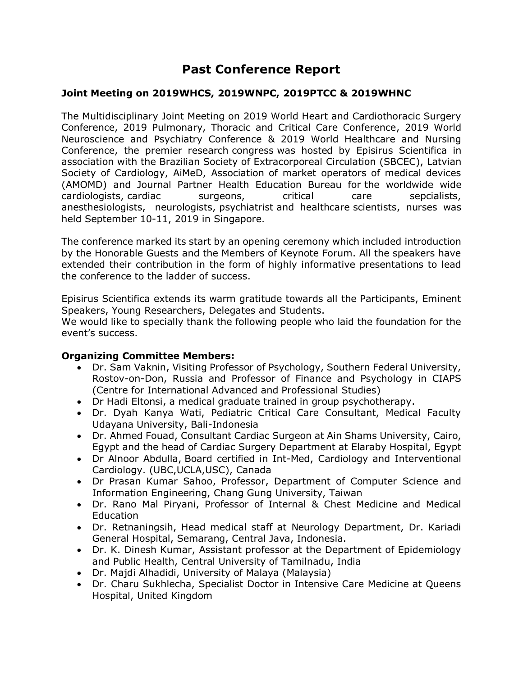# **Past Conference Report**

### **Joint Meeting on 2019WHCS, 2019WNPC, 2019PTCC & 2019WHNC**

The Multidisciplinary Joint Meeting on 2019 World Heart and Cardiothoracic Surgery Conference, 2019 Pulmonary, Thoracic and Critical Care Conference, 2019 World Neuroscience and Psychiatry Conference & 2019 World Healthcare and Nursing Conference, the premier research congress was hosted by Episirus Scientifica in association with the Brazilian Society of Extracorporeal Circulation (SBCEC), Latvian Society of Cardiology, AiMeD, Association of market operators of medical devices (АMOMD) and Journal Partner Health Education Bureau for the worldwide wide cardiologists, cardiac surgeons, critical care sepcialists, anesthesiologists, neurologists, psychiatrist and healthcare scientists, nurses was held September 10-11, 2019 in Singapore.

The conference marked its start by an opening ceremony which included introduction by the Honorable Guests and the Members of Keynote Forum. All the speakers have extended their contribution in the form of highly informative presentations to lead the conference to the ladder of success.

Episirus Scientifica extends its warm gratitude towards all the Participants, Eminent Speakers, Young Researchers, Delegates and Students.

We would like to specially thank the following people who laid the foundation for the event's success.

#### **Organizing Committee Members:**

- Dr. Sam Vaknin, Visiting Professor of Psychology, Southern Federal University, Rostov-on-Don, Russia and Professor of Finance and Psychology in CIAPS (Centre for International Advanced and Professional Studies)
- Dr Hadi Eltonsi, a medical graduate trained in group psychotherapy.
- Dr. Dyah Kanya Wati, Pediatric Critical Care Consultant, Medical Faculty Udayana University, Bali-Indonesia
- Dr. Ahmed Fouad, Consultant Cardiac Surgeon at Ain Shams University, Cairo, Egypt and the head of Cardiac Surgery Department at Elaraby Hospital, Egypt
- Dr Alnoor Abdulla, Board certified in Int-Med, Cardiology and Interventional Cardiology. (UBC,UCLA,USC), Canada
- Dr Prasan Kumar Sahoo, Professor, Department of Computer Science and Information Engineering, Chang Gung University, Taiwan
- Dr. Rano Mal Piryani, Professor of Internal & Chest Medicine and Medical Education
- Dr. Retnaningsih, Head medical staff at Neurology Department, Dr. Kariadi General Hospital, Semarang, Central Java, Indonesia.
- Dr. K. Dinesh Kumar, Assistant professor at the Department of Epidemiology and Public Health, Central University of Tamilnadu, India
- Dr. Majdi Alhadidi, University of Malaya (Malaysia)
- Dr. Charu Sukhlecha, Specialist Doctor in Intensive Care Medicine at Queens Hospital, United Kingdom